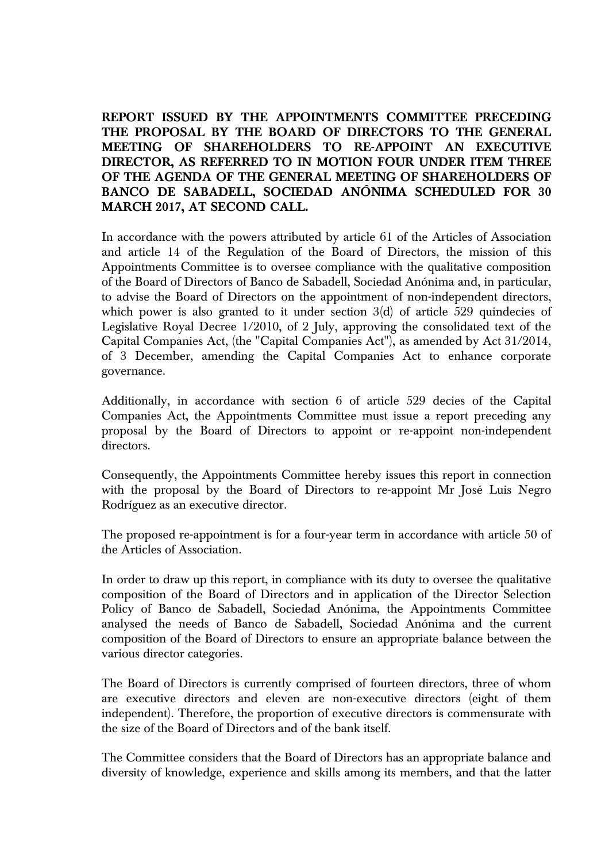**REPORT ISSUED BY THE APPOINTMENTS COMMITTEE PRECEDING THE PROPOSAL BY THE BOARD OF DIRECTORS TO THE GENERAL MEETING OF SHAREHOLDERS TO RE-APPOINT AN EXECUTIVE DIRECTOR, AS REFERRED TO IN MOTION FOUR UNDER ITEM THREE OF THE AGENDA OF THE GENERAL MEETING OF SHAREHOLDERS OF BANCO DE SABADELL, SOCIEDAD ANÓNIMA SCHEDULED FOR 30 MARCH 2017, AT SECOND CALL.** 

In accordance with the powers attributed by article 61 of the Articles of Association and article 14 of the Regulation of the Board of Directors, the mission of this Appointments Committee is to oversee compliance with the qualitative composition of the Board of Directors of Banco de Sabadell, Sociedad Anónima and, in particular, to advise the Board of Directors on the appointment of non-independent directors, which power is also granted to it under section  $3(d)$  of article 529 quindecies of Legislative Royal Decree 1/2010, of 2 July, approving the consolidated text of the Capital Companies Act, (the "Capital Companies Act"), as amended by Act 31/2014, of 3 December, amending the Capital Companies Act to enhance corporate governance.

Additionally, in accordance with section 6 of article 529 decies of the Capital Companies Act, the Appointments Committee must issue a report preceding any proposal by the Board of Directors to appoint or re-appoint non-independent directors.

Consequently, the Appointments Committee hereby issues this report in connection with the proposal by the Board of Directors to re-appoint Mr José Luis Negro Rodríguez as an executive director.

The proposed re-appointment is for a four-year term in accordance with article 50 of the Articles of Association.

In order to draw up this report, in compliance with its duty to oversee the qualitative composition of the Board of Directors and in application of the Director Selection Policy of Banco de Sabadell, Sociedad Anónima, the Appointments Committee analysed the needs of Banco de Sabadell, Sociedad Anónima and the current composition of the Board of Directors to ensure an appropriate balance between the various director categories.

The Board of Directors is currently comprised of fourteen directors, three of whom are executive directors and eleven are non-executive directors (eight of them independent). Therefore, the proportion of executive directors is commensurate with the size of the Board of Directors and of the bank itself.

The Committee considers that the Board of Directors has an appropriate balance and diversity of knowledge, experience and skills among its members, and that the latter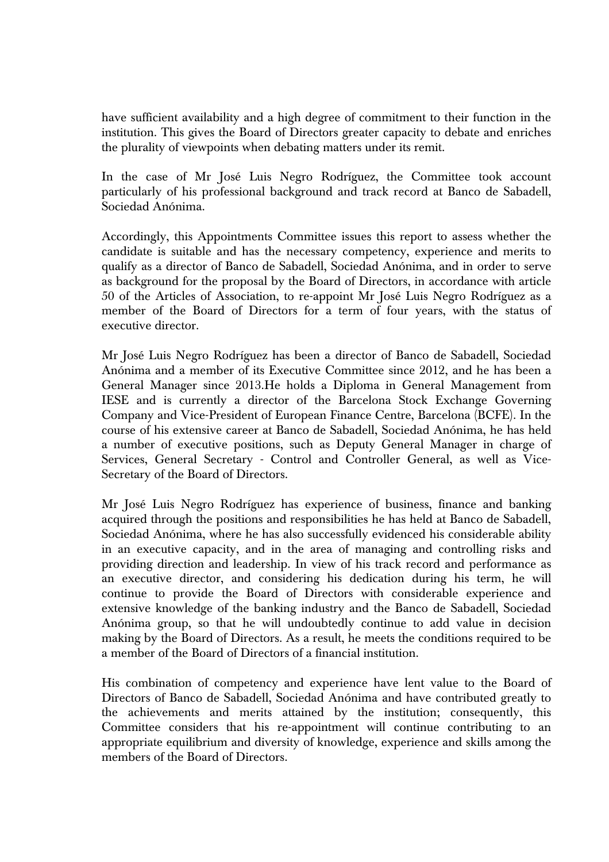have sufficient availability and a high degree of commitment to their function in the institution. This gives the Board of Directors greater capacity to debate and enriches the plurality of viewpoints when debating matters under its remit.

In the case of Mr José Luis Negro Rodríguez, the Committee took account particularly of his professional background and track record at Banco de Sabadell, Sociedad Anónima.

Accordingly, this Appointments Committee issues this report to assess whether the candidate is suitable and has the necessary competency, experience and merits to qualify as a director of Banco de Sabadell, Sociedad Anónima, and in order to serve as background for the proposal by the Board of Directors, in accordance with article 50 of the Articles of Association, to re-appoint Mr José Luis Negro Rodríguez as a member of the Board of Directors for a term of four years, with the status of executive director.

Mr José Luis Negro Rodríguez has been a director of Banco de Sabadell, Sociedad Anónima and a member of its Executive Committee since 2012, and he has been a General Manager since 2013.He holds a Diploma in General Management from IESE and is currently a director of the Barcelona Stock Exchange Governing Company and Vice-President of European Finance Centre, Barcelona (BCFE). In the course of his extensive career at Banco de Sabadell, Sociedad Anónima, he has held a number of executive positions, such as Deputy General Manager in charge of Services, General Secretary - Control and Controller General, as well as Vice-Secretary of the Board of Directors.

Mr José Luis Negro Rodríguez has experience of business, finance and banking acquired through the positions and responsibilities he has held at Banco de Sabadell, Sociedad Anónima, where he has also successfully evidenced his considerable ability in an executive capacity, and in the area of managing and controlling risks and providing direction and leadership. In view of his track record and performance as an executive director, and considering his dedication during his term, he will continue to provide the Board of Directors with considerable experience and extensive knowledge of the banking industry and the Banco de Sabadell, Sociedad Anónima group, so that he will undoubtedly continue to add value in decision making by the Board of Directors. As a result, he meets the conditions required to be a member of the Board of Directors of a financial institution.

His combination of competency and experience have lent value to the Board of Directors of Banco de Sabadell, Sociedad Anónima and have contributed greatly to the achievements and merits attained by the institution; consequently, this Committee considers that his re-appointment will continue contributing to an appropriate equilibrium and diversity of knowledge, experience and skills among the members of the Board of Directors.